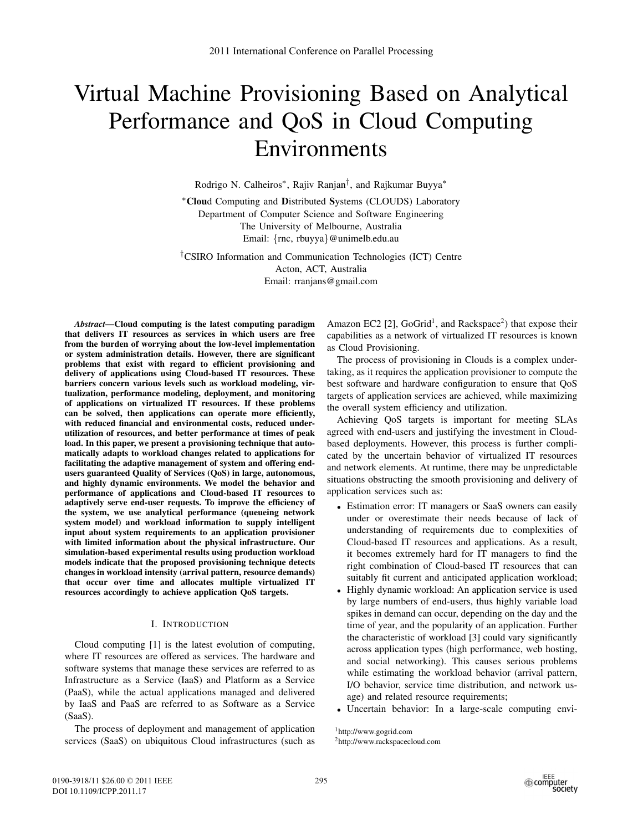# Virtual Machine Provisioning Based on Analytical Performance and QoS in Cloud Computing Environments

Rodrigo N. Calheiros\*, Rajiv Ranjan<sup>†</sup>, and Rajkumar Buyya\*

<sup>∗</sup>Cloud Computing and Distributed Systems (CLOUDS) Laboratory Department of Computer Science and Software Engineering The University of Melbourne, Australia Email: {rnc, rbuyya}@unimelb.edu.au

†CSIRO Information and Communication Technologies (ICT) Centre Acton, ACT, Australia Email: rranjans@gmail.com

*Abstract*—Cloud computing is the latest computing paradigm that delivers IT resources as services in which users are free from the burden of worrying about the low-level implementation or system administration details. However, there are significant problems that exist with regard to efficient provisioning and delivery of applications using Cloud-based IT resources. These barriers concern various levels such as workload modeling, virtualization, performance modeling, deployment, and monitoring of applications on virtualized IT resources. If these problems can be solved, then applications can operate more efficiently, with reduced financial and environmental costs, reduced underutilization of resources, and better performance at times of peak load. In this paper, we present a provisioning technique that automatically adapts to workload changes related to applications for facilitating the adaptive management of system and offering endusers guaranteed Quality of Services (QoS) in large, autonomous, and highly dynamic environments. We model the behavior and performance of applications and Cloud-based IT resources to adaptively serve end-user requests. To improve the efficiency of the system, we use analytical performance (queueing network system model) and workload information to supply intelligent input about system requirements to an application provisioner with limited information about the physical infrastructure. Our simulation-based experimental results using production workload models indicate that the proposed provisioning technique detects changes in workload intensity (arrival pattern, resource demands) that occur over time and allocates multiple virtualized IT resources accordingly to achieve application QoS targets.

# I. INTRODUCTION

Cloud computing [1] is the latest evolution of computing, where IT resources are offered as services. The hardware and software systems that manage these services are referred to as Infrastructure as a Service (IaaS) and Platform as a Service (PaaS), while the actual applications managed and delivered by IaaS and PaaS are referred to as Software as a Service (SaaS).

The process of deployment and management of application services (SaaS) on ubiquitous Cloud infrastructures (such as

Amazon EC2 [2],  $GoGrid^1$ , and Rackspace<sup>2</sup>) that expose their capabilities as a network of virtualized IT resources is known as Cloud Provisioning.

The process of provisioning in Clouds is a complex undertaking, as it requires the application provisioner to compute the best software and hardware configuration to ensure that QoS targets of application services are achieved, while maximizing the overall system efficiency and utilization.

Achieving QoS targets is important for meeting SLAs agreed with end-users and justifying the investment in Cloudbased deployments. However, this process is further complicated by the uncertain behavior of virtualized IT resources and network elements. At runtime, there may be unpredictable situations obstructing the smooth provisioning and delivery of application services such as:

- Estimation error: IT managers or SaaS owners can easily under or overestimate their needs because of lack of understanding of requirements due to complexities of Cloud-based IT resources and applications. As a result, it becomes extremely hard for IT managers to find the right combination of Cloud-based IT resources that can suitably fit current and anticipated application workload;
- Highly dynamic workload: An application service is used by large numbers of end-users, thus highly variable load spikes in demand can occur, depending on the day and the time of year, and the popularity of an application. Further the characteristic of workload [3] could vary significantly across application types (high performance, web hosting, and social networking). This causes serious problems while estimating the workload behavior (arrival pattern, I/O behavior, service time distribution, and network usage) and related resource requirements;
- Uncertain behavior: In a large-scale computing envi-

<sup>1</sup>http://www.gogrid.com <sup>2</sup>http://www.rackspacecloud.com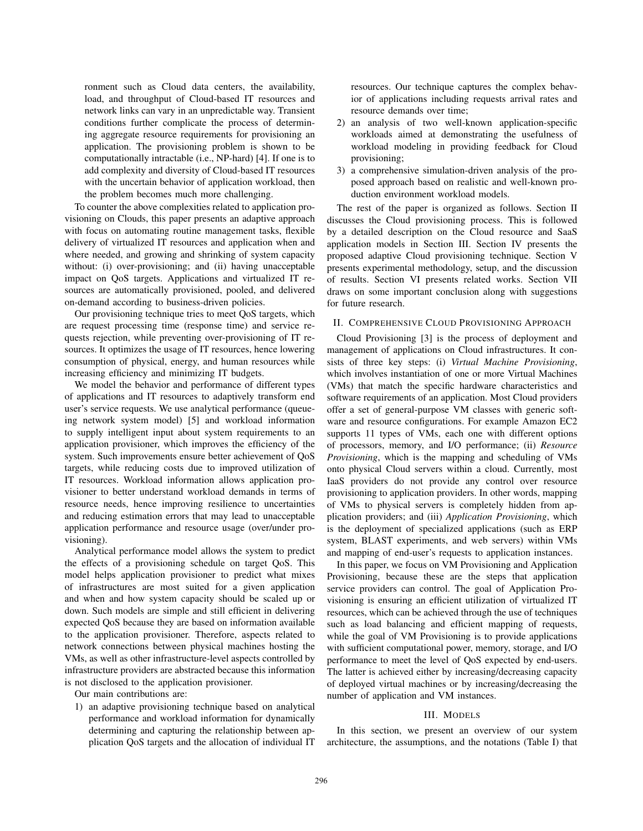ronment such as Cloud data centers, the availability, load, and throughput of Cloud-based IT resources and network links can vary in an unpredictable way. Transient conditions further complicate the process of determining aggregate resource requirements for provisioning an application. The provisioning problem is shown to be computationally intractable (i.e., NP-hard) [4]. If one is to add complexity and diversity of Cloud-based IT resources with the uncertain behavior of application workload, then the problem becomes much more challenging.

To counter the above complexities related to application provisioning on Clouds, this paper presents an adaptive approach with focus on automating routine management tasks, flexible delivery of virtualized IT resources and application when and where needed, and growing and shrinking of system capacity without: (i) over-provisioning; and (ii) having unacceptable impact on QoS targets. Applications and virtualized IT resources are automatically provisioned, pooled, and delivered on-demand according to business-driven policies.

Our provisioning technique tries to meet QoS targets, which are request processing time (response time) and service requests rejection, while preventing over-provisioning of IT resources. It optimizes the usage of IT resources, hence lowering consumption of physical, energy, and human resources while increasing efficiency and minimizing IT budgets.

We model the behavior and performance of different types of applications and IT resources to adaptively transform end user's service requests. We use analytical performance (queueing network system model) [5] and workload information to supply intelligent input about system requirements to an application provisioner, which improves the efficiency of the system. Such improvements ensure better achievement of QoS targets, while reducing costs due to improved utilization of IT resources. Workload information allows application provisioner to better understand workload demands in terms of resource needs, hence improving resilience to uncertainties and reducing estimation errors that may lead to unacceptable application performance and resource usage (over/under provisioning).

Analytical performance model allows the system to predict the effects of a provisioning schedule on target QoS. This model helps application provisioner to predict what mixes of infrastructures are most suited for a given application and when and how system capacity should be scaled up or down. Such models are simple and still efficient in delivering expected QoS because they are based on information available to the application provisioner. Therefore, aspects related to network connections between physical machines hosting the VMs, as well as other infrastructure-level aspects controlled by infrastructure providers are abstracted because this information is not disclosed to the application provisioner.

Our main contributions are:

1) an adaptive provisioning technique based on analytical performance and workload information for dynamically determining and capturing the relationship between application QoS targets and the allocation of individual IT resources. Our technique captures the complex behavior of applications including requests arrival rates and resource demands over time;

- 2) an analysis of two well-known application-specific workloads aimed at demonstrating the usefulness of workload modeling in providing feedback for Cloud provisioning;
- 3) a comprehensive simulation-driven analysis of the proposed approach based on realistic and well-known production environment workload models.

The rest of the paper is organized as follows. Section II discusses the Cloud provisioning process. This is followed by a detailed description on the Cloud resource and SaaS application models in Section III. Section IV presents the proposed adaptive Cloud provisioning technique. Section V presents experimental methodology, setup, and the discussion of results. Section VI presents related works. Section VII draws on some important conclusion along with suggestions for future research.

## II. COMPREHENSIVE CLOUD PROVISIONING APPROACH

Cloud Provisioning [3] is the process of deployment and management of applications on Cloud infrastructures. It consists of three key steps: (i) *Virtual Machine Provisioning*, which involves instantiation of one or more Virtual Machines (VMs) that match the specific hardware characteristics and software requirements of an application. Most Cloud providers offer a set of general-purpose VM classes with generic software and resource configurations. For example Amazon EC2 supports 11 types of VMs, each one with different options of processors, memory, and I/O performance; (ii) *Resource Provisioning*, which is the mapping and scheduling of VMs onto physical Cloud servers within a cloud. Currently, most IaaS providers do not provide any control over resource provisioning to application providers. In other words, mapping of VMs to physical servers is completely hidden from application providers; and (iii) *Application Provisioning*, which is the deployment of specialized applications (such as ERP system, BLAST experiments, and web servers) within VMs and mapping of end-user's requests to application instances.

In this paper, we focus on VM Provisioning and Application Provisioning, because these are the steps that application service providers can control. The goal of Application Provisioning is ensuring an efficient utilization of virtualized IT resources, which can be achieved through the use of techniques such as load balancing and efficient mapping of requests, while the goal of VM Provisioning is to provide applications with sufficient computational power, memory, storage, and I/O performance to meet the level of QoS expected by end-users. The latter is achieved either by increasing/decreasing capacity of deployed virtual machines or by increasing/decreasing the number of application and VM instances.

#### III. MODELS

In this section, we present an overview of our system architecture, the assumptions, and the notations (Table I) that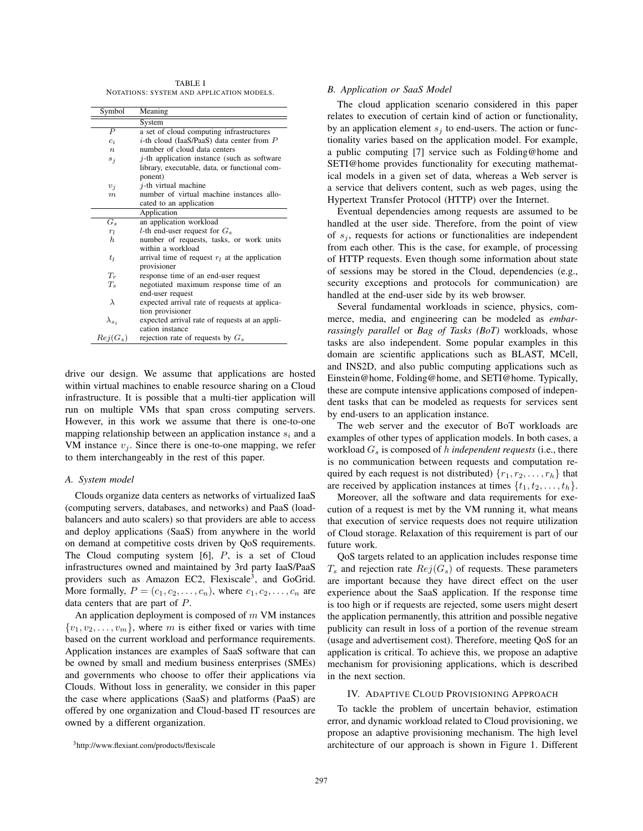TABLE I NOTATIONS: SYSTEM AND APPLICATION MODELS.

| Symbol           | Meaning                                             |
|------------------|-----------------------------------------------------|
|                  | System                                              |
| $\overline{P}$   | a set of cloud computing infrastructures            |
| $c_i$            | <i>i</i> -th cloud (IaaS/PaaS) data center from $P$ |
| $\boldsymbol{n}$ | number of cloud data centers                        |
| $s_i$            | $j$ -th application instance (such as software      |
|                  | library, executable, data, or functional com-       |
|                  | ponent)                                             |
| $v_i$            | $j$ -th virtual machine                             |
| m                | number of virtual machine instances allo-           |
|                  | cated to an application                             |
|                  | Application                                         |
| $G_s$            | an application workload                             |
| $r_l$            | <i>l</i> -th end-user request for $G_s$             |
| h.               | number of requests, tasks, or work units            |
|                  | within a workload                                   |
| $t_I$            | arrival time of request $r_l$ at the application    |
|                  | provisioner                                         |
| $T_r$            | response time of an end-user request                |
| $T_s$            | negotiated maximum response time of an              |
|                  | end-user request                                    |
| $\lambda$        | expected arrival rate of requests at applica-       |
|                  | tion provisioner                                    |
| $\lambda_{s_i}$  | expected arrival rate of requests at an appli-      |
|                  | cation instance                                     |
| $Rej(G_s)$       | rejection rate of requests by $G_s$                 |

drive our design. We assume that applications are hosted within virtual machines to enable resource sharing on a Cloud infrastructure. It is possible that a multi-tier application will run on multiple VMs that span cross computing servers. However, in this work we assume that there is one-to-one mapping relationship between an application instance  $s_i$  and a VM instance  $v_i$ . Since there is one-to-one mapping, we refer to them interchangeably in the rest of this paper.

#### *A. System model*

Clouds organize data centers as networks of virtualized IaaS (computing servers, databases, and networks) and PaaS (loadbalancers and auto scalers) so that providers are able to access and deploy applications (SaaS) from anywhere in the world on demand at competitive costs driven by QoS requirements. The Cloud computing system  $[6]$ ,  $P$ , is a set of Cloud infrastructures owned and maintained by 3rd party IaaS/PaaS providers such as Amazon EC2, Flexiscale<sup>3</sup>, and GoGrid. More formally,  $P = (c_1, c_2, \ldots, c_n)$ , where  $c_1, c_2, \ldots, c_n$  are data centers that are part of P.

An application deployment is composed of  $m$  VM instances  $\{v_1, v_2, \ldots, v_m\}$ , where m is either fixed or varies with time based on the current workload and performance requirements. Application instances are examples of SaaS software that can be owned by small and medium business enterprises (SMEs) and governments who choose to offer their applications via Clouds. Without loss in generality, we consider in this paper the case where applications (SaaS) and platforms (PaaS) are offered by one organization and Cloud-based IT resources are owned by a different organization.

#### *B. Application or SaaS Model*

The cloud application scenario considered in this paper relates to execution of certain kind of action or functionality, by an application element  $s_i$  to end-users. The action or functionality varies based on the application model. For example, a public computing [7] service such as Folding@home and SETI@home provides functionality for executing mathematical models in a given set of data, whereas a Web server is a service that delivers content, such as web pages, using the Hypertext Transfer Protocol (HTTP) over the Internet.

Eventual dependencies among requests are assumed to be handled at the user side. Therefore, from the point of view of  $s_i$ , requests for actions or functionalities are independent from each other. This is the case, for example, of processing of HTTP requests. Even though some information about state of sessions may be stored in the Cloud, dependencies (e.g., security exceptions and protocols for communication) are handled at the end-user side by its web browser.

Several fundamental workloads in science, physics, commerce, media, and engineering can be modeled as *embarrassingly parallel* or *Bag of Tasks (BoT)* workloads, whose tasks are also independent. Some popular examples in this domain are scientific applications such as BLAST, MCell, and INS2D, and also public computing applications such as Einstein@home, Folding@home, and SETI@home. Typically, these are compute intensive applications composed of independent tasks that can be modeled as requests for services sent by end-users to an application instance.

The web server and the executor of BoT workloads are examples of other types of application models. In both cases, a workload  $G_s$  is composed of h *independent requests* (i.e., there is no communication between requests and computation required by each request is not distributed)  $\{r_1, r_2, \ldots, r_h\}$  that are received by application instances at times  $\{t_1, t_2, \ldots, t_h\}$ .

Moreover, all the software and data requirements for execution of a request is met by the VM running it, what means that execution of service requests does not require utilization of Cloud storage. Relaxation of this requirement is part of our future work.

QoS targets related to an application includes response time  $T_s$  and rejection rate  $Rej(G_s)$  of requests. These parameters are important because they have direct effect on the user experience about the SaaS application. If the response time is too high or if requests are rejected, some users might desert the application permanently, this attrition and possible negative publicity can result in loss of a portion of the revenue stream (usage and advertisement cost). Therefore, meeting QoS for an application is critical. To achieve this, we propose an adaptive mechanism for provisioning applications, which is described in the next section.

#### IV. ADAPTIVE CLOUD PROVISIONING APPROACH

To tackle the problem of uncertain behavior, estimation error, and dynamic workload related to Cloud provisioning, we propose an adaptive provisioning mechanism. The high level architecture of our approach is shown in Figure 1. Different

<sup>3</sup>http://www.flexiant.com/products/flexiscale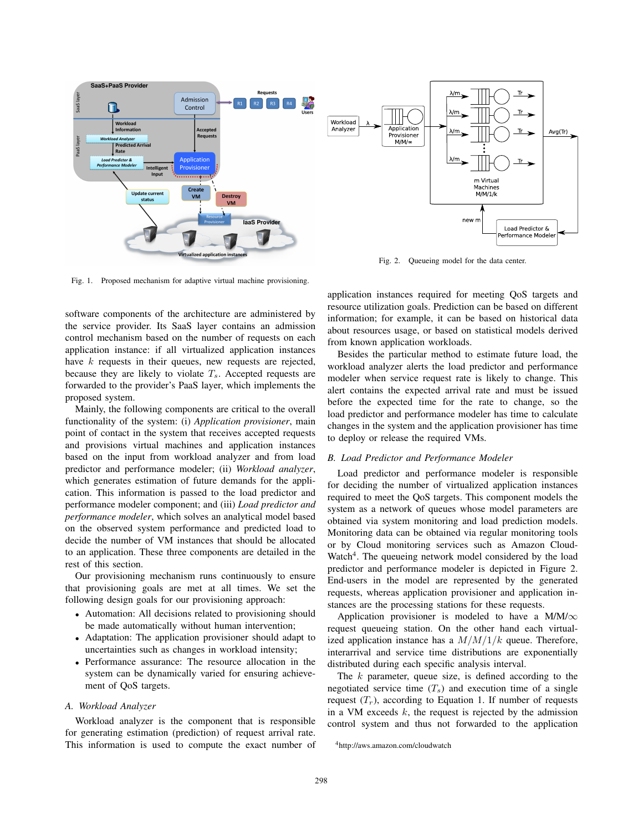

Fig. 1. Proposed mechanism for adaptive virtual machine provisioning.

software components of the architecture are administered by the service provider. Its SaaS layer contains an admission control mechanism based on the number of requests on each application instance: if all virtualized application instances have  $k$  requests in their queues, new requests are rejected, because they are likely to violate  $T_s$ . Accepted requests are forwarded to the provider's PaaS layer, which implements the proposed system.

Mainly, the following components are critical to the overall functionality of the system: (i) *Application provisioner*, main point of contact in the system that receives accepted requests and provisions virtual machines and application instances based on the input from workload analyzer and from load predictor and performance modeler; (ii) *Workload analyzer*, which generates estimation of future demands for the application. This information is passed to the load predictor and performance modeler component; and (iii) *Load predictor and performance modeler*, which solves an analytical model based on the observed system performance and predicted load to decide the number of VM instances that should be allocated to an application. These three components are detailed in the rest of this section.

Our provisioning mechanism runs continuously to ensure that provisioning goals are met at all times. We set the following design goals for our provisioning approach:

- Automation: All decisions related to provisioning should be made automatically without human intervention;
- Adaptation: The application provisioner should adapt to uncertainties such as changes in workload intensity;
- Performance assurance: The resource allocation in the system can be dynamically varied for ensuring achievement of QoS targets.

#### *A. Workload Analyzer*

Workload analyzer is the component that is responsible for generating estimation (prediction) of request arrival rate. This information is used to compute the exact number of



Fig. 2. Queueing model for the data center.

application instances required for meeting QoS targets and resource utilization goals. Prediction can be based on different information; for example, it can be based on historical data about resources usage, or based on statistical models derived from known application workloads.

Besides the particular method to estimate future load, the workload analyzer alerts the load predictor and performance modeler when service request rate is likely to change. This alert contains the expected arrival rate and must be issued before the expected time for the rate to change, so the load predictor and performance modeler has time to calculate changes in the system and the application provisioner has time to deploy or release the required VMs.

# *B. Load Predictor and Performance Modeler*

Load predictor and performance modeler is responsible for deciding the number of virtualized application instances required to meet the QoS targets. This component models the system as a network of queues whose model parameters are obtained via system monitoring and load prediction models. Monitoring data can be obtained via regular monitoring tools or by Cloud monitoring services such as Amazon Cloud-Watch<sup>4</sup>. The queueing network model considered by the load predictor and performance modeler is depicted in Figure 2. End-users in the model are represented by the generated requests, whereas application provisioner and application instances are the processing stations for these requests.

Application provisioner is modeled to have a M/M/ $\infty$ request queueing station. On the other hand each virtualized application instance has a  $M/M/1/k$  queue. Therefore, interarrival and service time distributions are exponentially distributed during each specific analysis interval.

The  $k$  parameter, queue size, is defined according to the negotiated service time  $(T_s)$  and execution time of a single request  $(T_r)$ , according to Equation 1. If number of requests in a VM exceeds  $k$ , the request is rejected by the admission control system and thus not forwarded to the application

<sup>4</sup>http://aws.amazon.com/cloudwatch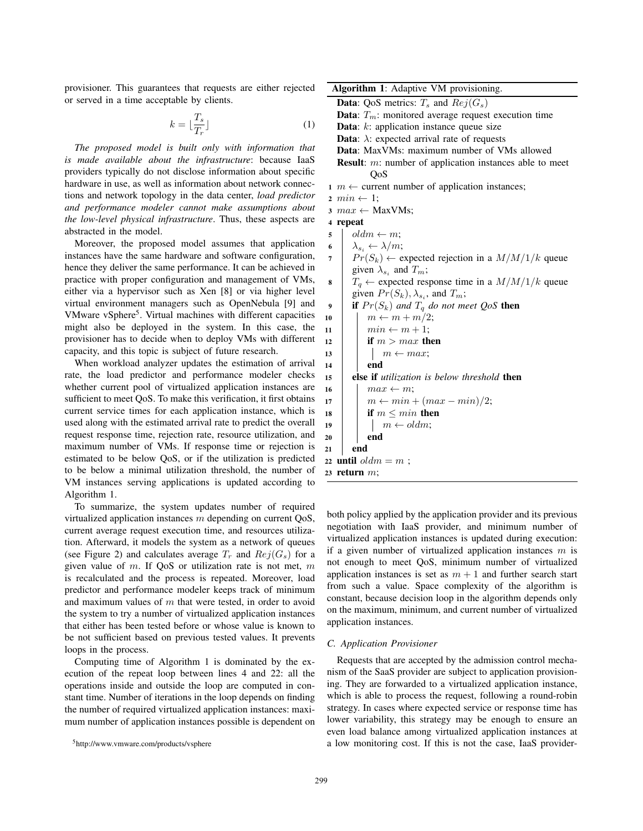provisioner. This guarantees that requests are either rejected or served in a time acceptable by clients.

$$
k = \lfloor \frac{T_s}{T_r} \rfloor \tag{1}
$$

*The proposed model is built only with information that is made available about the infrastructure*: because IaaS providers typically do not disclose information about specific hardware in use, as well as information about network connections and network topology in the data center, *load predictor and performance modeler cannot make assumptions about the low-level physical infrastructure*. Thus, these aspects are abstracted in the model.

Moreover, the proposed model assumes that application instances have the same hardware and software configuration, hence they deliver the same performance. It can be achieved in practice with proper configuration and management of VMs, either via a hypervisor such as Xen [8] or via higher level virtual environment managers such as OpenNebula [9] and VMware vSphere<sup>5</sup>. Virtual machines with different capacities might also be deployed in the system. In this case, the provisioner has to decide when to deploy VMs with different capacity, and this topic is subject of future research.

When workload analyzer updates the estimation of arrival rate, the load predictor and performance modeler checks whether current pool of virtualized application instances are sufficient to meet QoS. To make this verification, it first obtains current service times for each application instance, which is used along with the estimated arrival rate to predict the overall request response time, rejection rate, resource utilization, and maximum number of VMs. If response time or rejection is estimated to be below QoS, or if the utilization is predicted to be below a minimal utilization threshold, the number of VM instances serving applications is updated according to Algorithm 1.

To summarize, the system updates number of required virtualized application instances  $m$  depending on current QoS, current average request execution time, and resources utilization. Afterward, it models the system as a network of queues (see Figure 2) and calculates average  $T_r$  and  $Rej(G_s)$  for a given value of  $m$ . If QoS or utilization rate is not met,  $m$ is recalculated and the process is repeated. Moreover, load predictor and performance modeler keeps track of minimum and maximum values of  $m$  that were tested, in order to avoid the system to try a number of virtualized application instances that either has been tested before or whose value is known to be not sufficient based on previous tested values. It prevents loops in the process.

Computing time of Algorithm 1 is dominated by the execution of the repeat loop between lines 4 and 22: all the operations inside and outside the loop are computed in constant time. Number of iterations in the loop depends on finding the number of required virtualized application instances: maximum number of application instances possible is dependent on

|                                                                   | Algorithm 1: Adaptive VM provisioning.                           |  |  |  |  |
|-------------------------------------------------------------------|------------------------------------------------------------------|--|--|--|--|
|                                                                   | <b>Data:</b> QoS metrics: $T_s$ and $Rej(G_s)$                   |  |  |  |  |
|                                                                   | <b>Data:</b> $T_m$ : monitored average request execution time    |  |  |  |  |
| <b>Data:</b> $k$ : application instance queue size                |                                                                  |  |  |  |  |
| <b>Data:</b> $\lambda$ : expected arrival rate of requests        |                                                                  |  |  |  |  |
| <b>Data:</b> MaxVMs: maximum number of VMs allowed                |                                                                  |  |  |  |  |
| <b>Result:</b> $m$ : number of application instances able to meet |                                                                  |  |  |  |  |
|                                                                   | QoS                                                              |  |  |  |  |
|                                                                   | $1 \t m \leftarrow$ current number of application instances;     |  |  |  |  |
|                                                                   | $2 \text{ min} \leftarrow 1$ ;                                   |  |  |  |  |
|                                                                   | $3 \; max \leftarrow \text{MaxVMs};$                             |  |  |  |  |
| 4                                                                 | repeat                                                           |  |  |  |  |
| 5                                                                 | $oldm \leftarrow m$                                              |  |  |  |  |
| 6                                                                 | $\lambda_{s_i} \leftarrow \lambda/m;$                            |  |  |  |  |
| 7                                                                 | $Pr(S_k) \leftarrow$ expected rejection in a $M/M/1/k$ queue     |  |  |  |  |
|                                                                   | given $\lambda_{s_i}$ and $T_m$ ;                                |  |  |  |  |
| 8                                                                 | $T_q \leftarrow$ expected response time in a $M/M/1/k$ queue     |  |  |  |  |
|                                                                   | given $Pr(S_k)$ , $\lambda_{s_i}$ , and $T_m$ ;                  |  |  |  |  |
| 9                                                                 | <b>if</b> $Pr(S_k)$ and $T_q$ do not meet QoS <b>then</b>        |  |  |  |  |
| 10                                                                | $m \leftarrow m + m/2;$                                          |  |  |  |  |
| 11                                                                | $min \leftarrow m + 1$ ;                                         |  |  |  |  |
| 12                                                                | if $m > max$ then                                                |  |  |  |  |
| 13                                                                | $m \leftarrow max;$                                              |  |  |  |  |
| 14                                                                | end                                                              |  |  |  |  |
| 15                                                                | <b>else if</b> <i>utilization is below threshold</i> <b>then</b> |  |  |  |  |
| 16                                                                | $max \leftarrow m$ ;                                             |  |  |  |  |
| 17                                                                | $m \leftarrow min + (max - min)/2;$                              |  |  |  |  |
| 18                                                                | if $m \leq min$ then                                             |  |  |  |  |
| 19                                                                | $m \leftarrow oldm$ ;<br>end                                     |  |  |  |  |
| 20                                                                |                                                                  |  |  |  |  |
| 21                                                                | end                                                              |  |  |  |  |
| 22 until $\mathit{oldm} = m$ ;<br>23 return $m$ ;                 |                                                                  |  |  |  |  |
|                                                                   |                                                                  |  |  |  |  |
|                                                                   |                                                                  |  |  |  |  |

both policy applied by the application provider and its previous negotiation with IaaS provider, and minimum number of virtualized application instances is updated during execution: if a given number of virtualized application instances  $m$  is not enough to meet QoS, minimum number of virtualized application instances is set as  $m + 1$  and further search start from such a value. Space complexity of the algorithm is constant, because decision loop in the algorithm depends only on the maximum, minimum, and current number of virtualized application instances.

### *C. Application Provisioner*

Requests that are accepted by the admission control mechanism of the SaaS provider are subject to application provisioning. They are forwarded to a virtualized application instance, which is able to process the request, following a round-robin strategy. In cases where expected service or response time has lower variability, this strategy may be enough to ensure an even load balance among virtualized application instances at a low monitoring cost. If this is not the case, IaaS provider-

<sup>5</sup>http://www.vmware.com/products/vsphere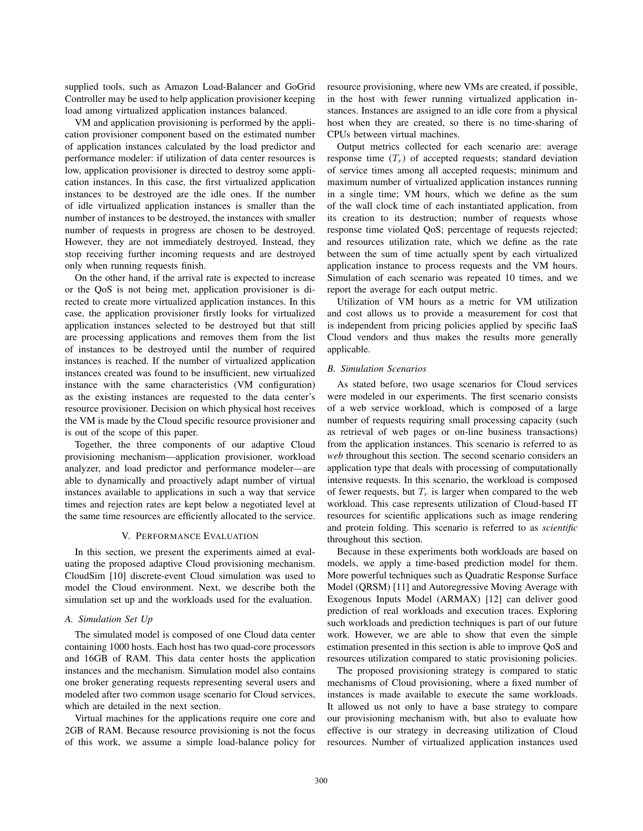supplied tools, such as Amazon Load-Balancer and GoGrid Controller may be used to help application provisioner keeping load among virtualized application instances balanced.

VM and application provisioning is performed by the application provisioner component based on the estimated number of application instances calculated by the load predictor and performance modeler: if utilization of data center resources is low, application provisioner is directed to destroy some application instances. In this case, the first virtualized application instances to be destroyed are the idle ones. If the number of idle virtualized application instances is smaller than the number of instances to be destroyed, the instances with smaller number of requests in progress are chosen to be destroyed. However, they are not immediately destroyed. Instead, they stop receiving further incoming requests and are destroyed only when running requests finish.

On the other hand, if the arrival rate is expected to increase or the QoS is not being met, application provisioner is directed to create more virtualized application instances. In this case, the application provisioner firstly looks for virtualized application instances selected to be destroyed but that still are processing applications and removes them from the list of instances to be destroyed until the number of required instances is reached. If the number of virtualized application instances created was found to be insufficient, new virtualized instance with the same characteristics (VM configuration) as the existing instances are requested to the data center's resource provisioner. Decision on which physical host receives the VM is made by the Cloud specific resource provisioner and is out of the scope of this paper.

Together, the three components of our adaptive Cloud provisioning mechanism—application provisioner, workload analyzer, and load predictor and performance modeler—are able to dynamically and proactively adapt number of virtual instances available to applications in such a way that service times and rejection rates are kept below a negotiated level at the same time resources are efficiently allocated to the service.

#### V. PERFORMANCE EVALUATION

In this section, we present the experiments aimed at evaluating the proposed adaptive Cloud provisioning mechanism. CloudSim [10] discrete-event Cloud simulation was used to model the Cloud environment. Next, we describe both the simulation set up and the workloads used for the evaluation.

### *A. Simulation Set Up*

The simulated model is composed of one Cloud data center containing 1000 hosts. Each host has two quad-core processors and 16GB of RAM. This data center hosts the application instances and the mechanism. Simulation model also contains one broker generating requests representing several users and modeled after two common usage scenario for Cloud services, which are detailed in the next section.

Virtual machines for the applications require one core and 2GB of RAM. Because resource provisioning is not the focus of this work, we assume a simple load-balance policy for

resource provisioning, where new VMs are created, if possible, in the host with fewer running virtualized application instances. Instances are assigned to an idle core from a physical host when they are created, so there is no time-sharing of CPUs between virtual machines.

Output metrics collected for each scenario are: average response time  $(T_r)$  of accepted requests; standard deviation of service times among all accepted requests; minimum and maximum number of virtualized application instances running in a single time; VM hours, which we define as the sum of the wall clock time of each instantiated application, from its creation to its destruction; number of requests whose response time violated QoS; percentage of requests rejected; and resources utilization rate, which we define as the rate between the sum of time actually spent by each virtualized application instance to process requests and the VM hours. Simulation of each scenario was repeated 10 times, and we report the average for each output metric.

Utilization of VM hours as a metric for VM utilization and cost allows us to provide a measurement for cost that is independent from pricing policies applied by specific IaaS Cloud vendors and thus makes the results more generally applicable.

# *B. Simulation Scenarios*

As stated before, two usage scenarios for Cloud services were modeled in our experiments. The first scenario consists of a web service workload, which is composed of a large number of requests requiring small processing capacity (such as retrieval of web pages or on-line business transactions) from the application instances. This scenario is referred to as *web* throughout this section. The second scenario considers an application type that deals with processing of computationally intensive requests. In this scenario, the workload is composed of fewer requests, but  $T_r$  is larger when compared to the web workload. This case represents utilization of Cloud-based IT resources for scientific applications such as image rendering and protein folding. This scenario is referred to as *scientific* throughout this section.

Because in these experiments both workloads are based on models, we apply a time-based prediction model for them. More powerful techniques such as Quadratic Response Surface Model (QRSM) [11] and Autoregressive Moving Average with Exogenous Inputs Model (ARMAX) [12] can deliver good prediction of real workloads and execution traces. Exploring such workloads and prediction techniques is part of our future work. However, we are able to show that even the simple estimation presented in this section is able to improve QoS and resources utilization compared to static provisioning policies.

The proposed provisioning strategy is compared to static mechanisms of Cloud provisioning, where a fixed number of instances is made available to execute the same workloads. It allowed us not only to have a base strategy to compare our provisioning mechanism with, but also to evaluate how effective is our strategy in decreasing utilization of Cloud resources. Number of virtualized application instances used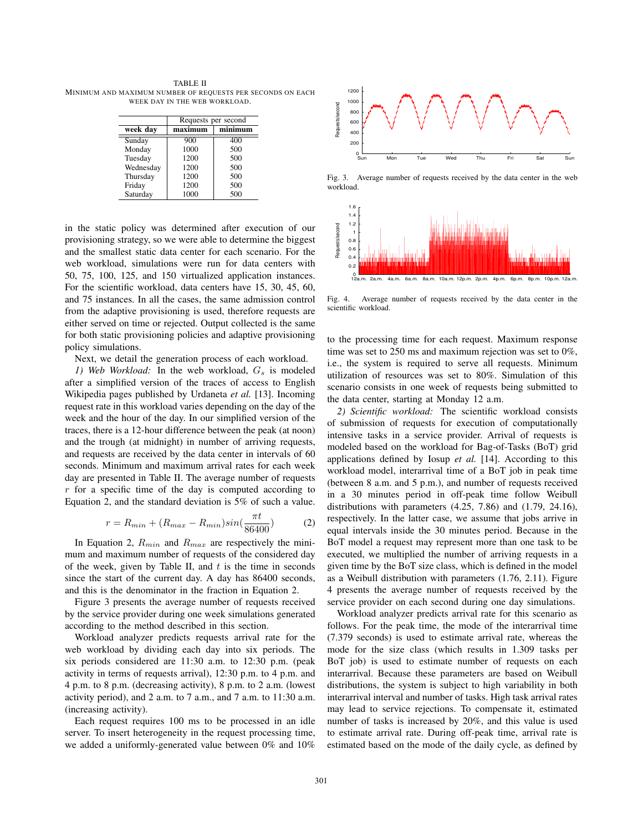TABLE II MINIMUM AND MAXIMUM NUMBER OF REQUESTS PER SECONDS ON EACH WEEK DAY IN THE WEB WORKLOAD.

|           | Requests per second |         |  |
|-----------|---------------------|---------|--|
| week dav  | maximum             | minimum |  |
| Sunday    | 900                 | 400     |  |
| Monday    | 1000                | 500     |  |
| Tuesday   | 1200                | 500     |  |
| Wednesday | 1200                | 500     |  |
| Thursday  | 1200                | 500     |  |
| Friday    | 1200                | 500     |  |
| Saturday  | 1000                | 500     |  |

in the static policy was determined after execution of our provisioning strategy, so we were able to determine the biggest and the smallest static data center for each scenario. For the web workload, simulations were run for data centers with 50, 75, 100, 125, and 150 virtualized application instances. For the scientific workload, data centers have 15, 30, 45, 60, and 75 instances. In all the cases, the same admission control from the adaptive provisioning is used, therefore requests are either served on time or rejected. Output collected is the same for both static provisioning policies and adaptive provisioning policy simulations.

Next, we detail the generation process of each workload.

*1)* Web Workload: In the web workload,  $G_s$  is modeled after a simplified version of the traces of access to English Wikipedia pages published by Urdaneta *et al.* [13]. Incoming request rate in this workload varies depending on the day of the week and the hour of the day. In our simplified version of the traces, there is a 12-hour difference between the peak (at noon) and the trough (at midnight) in number of arriving requests, and requests are received by the data center in intervals of 60 seconds. Minimum and maximum arrival rates for each week day are presented in Table II. The average number of requests  $r$  for a specific time of the day is computed according to Equation 2, and the standard deviation is 5% of such a value.

$$
r = R_{min} + (R_{max} - R_{min})sin(\frac{\pi t}{86400})
$$
 (2)

In Equation 2,  $R_{min}$  and  $R_{max}$  are respectively the minimum and maximum number of requests of the considered day of the week, given by Table II, and  $t$  is the time in seconds since the start of the current day. A day has 86400 seconds, and this is the denominator in the fraction in Equation 2.

Figure 3 presents the average number of requests received by the service provider during one week simulations generated according to the method described in this section.

Workload analyzer predicts requests arrival rate for the web workload by dividing each day into six periods. The six periods considered are 11:30 a.m. to 12:30 p.m. (peak activity in terms of requests arrival), 12:30 p.m. to 4 p.m. and 4 p.m. to 8 p.m. (decreasing activity), 8 p.m. to 2 a.m. (lowest activity period), and 2 a.m. to 7 a.m., and 7 a.m. to 11:30 a.m. (increasing activity).

Each request requires 100 ms to be processed in an idle server. To insert heterogeneity in the request processing time, we added a uniformly-generated value between 0% and 10%



Fig. 3. Average number of requests received by the data center in the web workload



Fig. 4. Average number of requests received by the data center in the scientific workload.

to the processing time for each request. Maximum response time was set to 250 ms and maximum rejection was set to 0%, i.e., the system is required to serve all requests. Minimum utilization of resources was set to 80%. Simulation of this scenario consists in one week of requests being submitted to the data center, starting at Monday 12 a.m.

*2) Scientific workload:* The scientific workload consists of submission of requests for execution of computationally intensive tasks in a service provider. Arrival of requests is modeled based on the workload for Bag-of-Tasks (BoT) grid applications defined by Iosup *et al.* [14]. According to this workload model, interarrival time of a BoT job in peak time (between 8 a.m. and 5 p.m.), and number of requests received in a 30 minutes period in off-peak time follow Weibull distributions with parameters (4.25, 7.86) and (1.79, 24.16), respectively. In the latter case, we assume that jobs arrive in equal intervals inside the 30 minutes period. Because in the BoT model a request may represent more than one task to be executed, we multiplied the number of arriving requests in a given time by the BoT size class, which is defined in the model as a Weibull distribution with parameters (1.76, 2.11). Figure 4 presents the average number of requests received by the service provider on each second during one day simulations.

Workload analyzer predicts arrival rate for this scenario as follows. For the peak time, the mode of the interarrival time (7.379 seconds) is used to estimate arrival rate, whereas the mode for the size class (which results in 1.309 tasks per BoT job) is used to estimate number of requests on each interarrival. Because these parameters are based on Weibull distributions, the system is subject to high variability in both interarrival interval and number of tasks. High task arrival rates may lead to service rejections. To compensate it, estimated number of tasks is increased by 20%, and this value is used to estimate arrival rate. During off-peak time, arrival rate is estimated based on the mode of the daily cycle, as defined by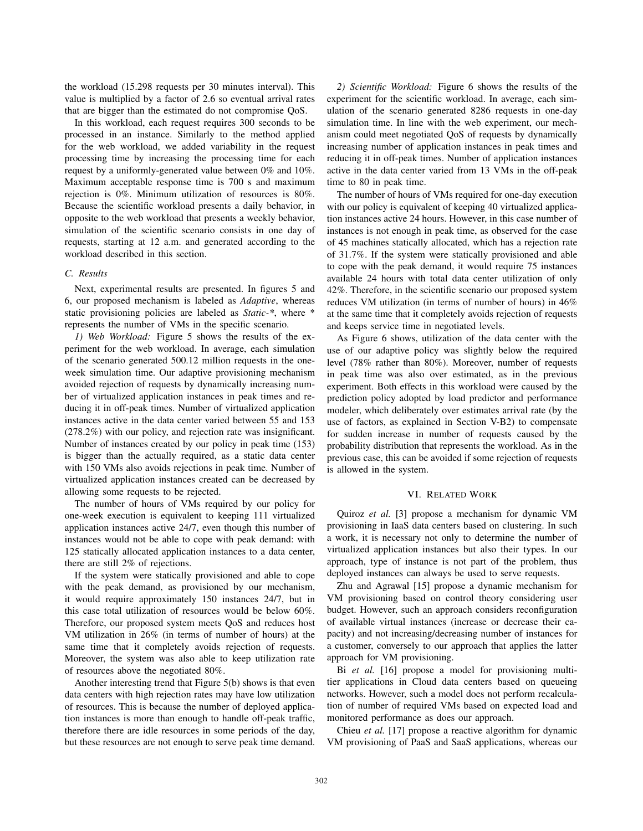the workload (15.298 requests per 30 minutes interval). This value is multiplied by a factor of 2.6 so eventual arrival rates that are bigger than the estimated do not compromise QoS.

In this workload, each request requires 300 seconds to be processed in an instance. Similarly to the method applied for the web workload, we added variability in the request processing time by increasing the processing time for each request by a uniformly-generated value between 0% and 10%. Maximum acceptable response time is 700 s and maximum rejection is 0%. Minimum utilization of resources is 80%. Because the scientific workload presents a daily behavior, in opposite to the web workload that presents a weekly behavior, simulation of the scientific scenario consists in one day of requests, starting at 12 a.m. and generated according to the workload described in this section.

#### *C. Results*

Next, experimental results are presented. In figures 5 and 6, our proposed mechanism is labeled as *Adaptive*, whereas static provisioning policies are labeled as *Static-\**, where \* represents the number of VMs in the specific scenario.

*1) Web Workload:* Figure 5 shows the results of the experiment for the web workload. In average, each simulation of the scenario generated 500.12 million requests in the oneweek simulation time. Our adaptive provisioning mechanism avoided rejection of requests by dynamically increasing number of virtualized application instances in peak times and reducing it in off-peak times. Number of virtualized application instances active in the data center varied between 55 and 153 (278.2%) with our policy, and rejection rate was insignificant. Number of instances created by our policy in peak time (153) is bigger than the actually required, as a static data center with 150 VMs also avoids rejections in peak time. Number of virtualized application instances created can be decreased by allowing some requests to be rejected.

The number of hours of VMs required by our policy for one-week execution is equivalent to keeping 111 virtualized application instances active 24/7, even though this number of instances would not be able to cope with peak demand: with 125 statically allocated application instances to a data center, there are still 2% of rejections.

If the system were statically provisioned and able to cope with the peak demand, as provisioned by our mechanism, it would require approximately 150 instances 24/7, but in this case total utilization of resources would be below 60%. Therefore, our proposed system meets QoS and reduces host VM utilization in 26% (in terms of number of hours) at the same time that it completely avoids rejection of requests. Moreover, the system was also able to keep utilization rate of resources above the negotiated 80%.

Another interesting trend that Figure 5(b) shows is that even data centers with high rejection rates may have low utilization of resources. This is because the number of deployed application instances is more than enough to handle off-peak traffic, therefore there are idle resources in some periods of the day, but these resources are not enough to serve peak time demand.

*2) Scientific Workload:* Figure 6 shows the results of the experiment for the scientific workload. In average, each simulation of the scenario generated 8286 requests in one-day simulation time. In line with the web experiment, our mechanism could meet negotiated QoS of requests by dynamically increasing number of application instances in peak times and reducing it in off-peak times. Number of application instances active in the data center varied from 13 VMs in the off-peak time to 80 in peak time.

The number of hours of VMs required for one-day execution with our policy is equivalent of keeping 40 virtualized application instances active 24 hours. However, in this case number of instances is not enough in peak time, as observed for the case of 45 machines statically allocated, which has a rejection rate of 31.7%. If the system were statically provisioned and able to cope with the peak demand, it would require 75 instances available 24 hours with total data center utilization of only 42%. Therefore, in the scientific scenario our proposed system reduces VM utilization (in terms of number of hours) in 46% at the same time that it completely avoids rejection of requests and keeps service time in negotiated levels.

As Figure 6 shows, utilization of the data center with the use of our adaptive policy was slightly below the required level (78% rather than 80%). Moreover, number of requests in peak time was also over estimated, as in the previous experiment. Both effects in this workload were caused by the prediction policy adopted by load predictor and performance modeler, which deliberately over estimates arrival rate (by the use of factors, as explained in Section V-B2) to compensate for sudden increase in number of requests caused by the probability distribution that represents the workload. As in the previous case, this can be avoided if some rejection of requests is allowed in the system.

#### VI. RELATED WORK

Quiroz *et al.* [3] propose a mechanism for dynamic VM provisioning in IaaS data centers based on clustering. In such a work, it is necessary not only to determine the number of virtualized application instances but also their types. In our approach, type of instance is not part of the problem, thus deployed instances can always be used to serve requests.

Zhu and Agrawal [15] propose a dynamic mechanism for VM provisioning based on control theory considering user budget. However, such an approach considers reconfiguration of available virtual instances (increase or decrease their capacity) and not increasing/decreasing number of instances for a customer, conversely to our approach that applies the latter approach for VM provisioning.

Bi *et al.* [16] propose a model for provisioning multitier applications in Cloud data centers based on queueing networks. However, such a model does not perform recalculation of number of required VMs based on expected load and monitored performance as does our approach.

Chieu *et al.* [17] propose a reactive algorithm for dynamic VM provisioning of PaaS and SaaS applications, whereas our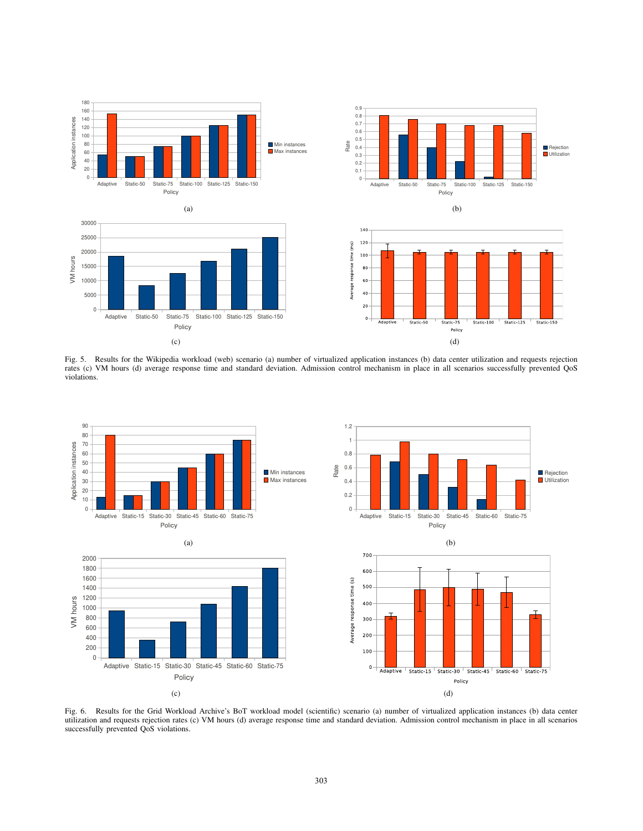





Fig. 5. Results for the Wikipedia workload (web) scenario (a) number of virtualized application instances (b) data center utilization and requests rejection rates (c) VM hours (d) average response time and standard deviation. Admission control mechanism in place in all scenarios successfully prevented QoS violations.



Fig. 6. Results for the Grid Workload Archive's BoT workload model (scientific) scenario (a) number of virtualized application instances (b) data center utilization and requests rejection rates (c) VM hours (d) average response time and standard deviation. Admission control mechanism in place in all scenarios successfully prevented QoS violations.